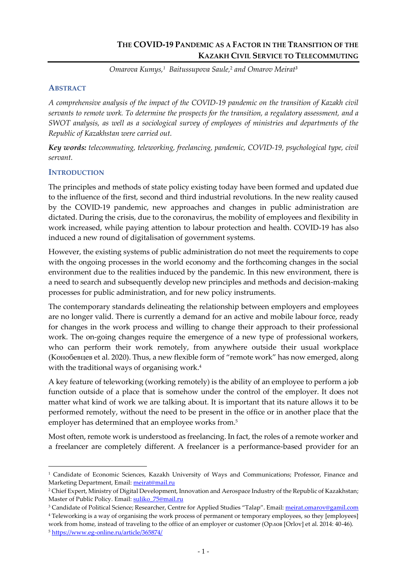*Omarova Kumys,<sup>1</sup> Baitussupova Saule,*<sup>2</sup> *and Omarov Meirat<sup>3</sup>*

### **ABSTRACT**

*A comprehensive analysis of the impact of the COVID-19 pandemic on the transition of Kazakh civil servants to remote work. To determine the prospects for the transition, a regulatory assessment, and a SWOT analysis, as well as a sociological survey of employees of ministries and departments of the Republic of Kazakhstan were carried out.*

*Key words: telecommuting, teleworking, freelancing, pandemic, COVID-19, psychological type, civil servant.*

## **INTRODUCTION**

The principles and methods of state policy existing today have been formed and updated due to the influence of the first, second and third industrial revolutions. In the new reality caused by the COVID-19 pandemic, new approaches and changes in public administration are dictated. During the crisis, due to the coronavirus, the mobility of employees and flexibility in work increased, while paying attention to labour protection and health. COVID-19 has also induced a new round of digitalisation of government systems.

However, the existing systems of public administration do not meet the requirements to cope with the ongoing processes in the world economy and the forthcoming changes in the social environment due to the realities induced by the pandemic. In this new environment, there is a need to search and subsequently develop new principles and methods and decision-making processes for public administration, and for new policy instruments.

The contemporary standards delineating the relationship between employers and employees are no longer valid. There is currently a demand for an active and mobile labour force, ready for changes in the work process and willing to change their approach to their professional work. The on-going changes require the emergence of a new type of professional workers, who can perform their work remotely, from anywhere outside their usual workplace (Конобевцев et al. 2020). Thus, a new flexible form of "remote work" has now emerged, along with the traditional ways of organising work.<sup>4</sup>

A key feature of teleworking (working remotely) is the ability of an employee to perform a job function outside of a place that is somehow under the control of the employer. It does not matter what kind of work we are talking about. It is important that its nature allows it to be performed remotely, without the need to be present in the office or in another place that the employer has determined that an employee works from. 5

Most often, remote work is understood as freelancing. In fact, the roles of a remote worker and a freelancer are completely different. A freelancer is a performance-based provider for an

<sup>&</sup>lt;sup>1</sup> Candidate of Economic Sciences, Kazakh University of Ways and Communications; Professor, Finance and Marketing Department, Email: [meirat@mail.ru](mailto:meirat@mail.ru)

<sup>&</sup>lt;sup>2</sup> Chief Expert, Ministry of Digital Development, Innovation and Aerospace Industry of the Republic of Kazakhstan; Master of Public Policy. Email: suliko 75@mail.ru

<sup>&</sup>lt;sup>3</sup> Candidate of Political Science; Researcher, Centre for Applied Studies "Talap". Email: [meirat.omarov@gamil.com](mailto:meirat.omarov@gamil.com)

<sup>4</sup> Teleworking is a way of organising the work process of permanent or temporary employees, so they [employees] work from home, instead of traveling to the office of an employer or customer (Орлов [Orlov] et al. 2014: 40-46).

<sup>5</sup> <https://www.eg-online.ru/article/365874/>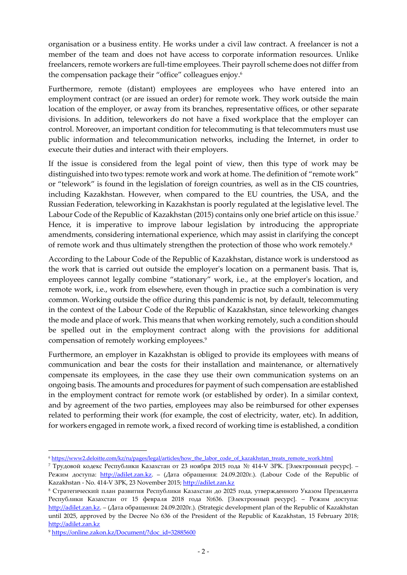organisation or a business entity. He works under a civil law contract. A freelancer is not a member of the team and does not have access to corporate information resources. Unlike freelancers, remote workers are full-time employees. Their payroll scheme does not differ from the compensation package their "office" colleagues enjoy. 6

Furthermore, remote (distant) employees are employees who have entered into an employment contract (or are issued an order) for remote work. They work outside the main location of the employer, or away from its branches, representative offices, or other separate divisions. In addition, teleworkers do not have a fixed workplace that the employer can control. Moreover, an important condition for telecommuting is that telecommuters must use public information and telecommunication networks, including the Internet, in order to execute their duties and interact with their employers.

If the issue is considered from the legal point of view, then this type of work may be distinguished into two types: remote work and work at home. The definition of "remote work" or "telework" is found in the legislation of foreign countries, as well as in the CIS countries, including Kazakhstan. However, when compared to the EU countries, the USA, and the Russian Federation, teleworking in Kazakhstan is poorly regulated at the legislative level. The Labour Code of the Republic of Kazakhstan (2015) contains only one brief article on this issue.<sup>7</sup> Hence, it is imperative to improve labour legislation by introducing the appropriate amendments, considering international experience, which may assist in clarifying the concept of remote work and thus ultimately strengthen the protection of those who work remotely.<sup>8</sup>

According to the Labour Code of the Republic of Kazakhstan, distance work is understood as the work that is carried out outside the employer's location on a permanent basis. That is, employees cannot legally combine "stationary" work, i.e., at the employer's location, and remote work, i.e., work from elsewhere, even though in practice such a combination is very common. Working outside the office during this pandemic is not, by default, telecommuting in the context of the Labour Code of the Republic of Kazakhstan, since teleworking changes the mode and place of work. This means that when working remotely, such a condition should be spelled out in the employment contract along with the provisions for additional compensation of remotely working employees. 9

Furthermore, an employer in Kazakhstan is obliged to provide its employees with means of communication and bear the costs for their installation and maintenance, or alternatively compensate its employees, in the case they use their own communication systems on an ongoing basis. The amounts and procedures for payment of such compensation are established in the employment contract for remote work (or established by order). In a similar context, and by agreement of the two parties, employees may also be reimbursed for other expenses related to performing their work (for example, the cost of electricity, water, etc). In addition, for workers engaged in remote work, a fixed record of working time is established, a condition

<sup>6</sup> [https://www2.deloitte.com/kz/ru/pages/legal/articles/how\\_the\\_labor\\_code\\_of\\_kazakhstan\\_treats\\_remote\\_work.html](https://www2.deloitte.com/kz/ru/pages/legal/articles/how_the_labor_code_of_kazakhstan_treats_remote_work.html)

<sup>7</sup> Трудовой кодекс Республики Казахстан от 23 ноября 2015 года № 414-V ЗРК. [Электронный ресурс]. – Режим доступа: [http://adilet.zan.kz.](http://adilet.zan.kz/) – (Дата обращения: 24.09.2020г.). (Labour Code of the Republic of Kazakhstan - No. 414-V ЗРК, 23 November 2015; [http://adilet.zan.kz](http://adilet.zan.kz/)

<sup>8</sup> Стратегический план развития Республики Казахстан до 2025 года, утвержденного Указом Президента Республики Казахстан от 15 февраля 2018 года №636. [Электронный ресурс]. – Режим доступа: [http://adilet.zan.kz.](http://adilet.zan.kz/) – (Дата обращения: 24.09.2020г.). (Strategic development plan of the Republic of Kazakhstan until 2025, approved by the Decree No 636 of the President of the Republic of Kazakhstan, 15 February 2018; [http://adilet.zan.kz](http://adilet.zan.kz/)

<sup>9</sup> [https://online.zakon.kz/Document/?doc\\_id=32885600](https://online.zakon.kz/Document/?doc_id=32885600)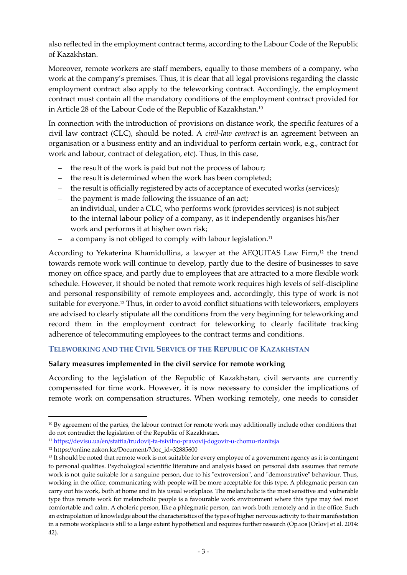also reflected in the employment contract terms, according to the Labour Code of the Republic of Kazakhstan.

Moreover, remote workers are staff members, equally to those members of a company, who work at the company's premises. Thus, it is clear that all legal provisions regarding the classic employment contract also apply to the teleworking contract. Accordingly, the employment contract must contain all the mandatory conditions of the employment contract provided for in Article 28 of the Labour Code of the Republic of Kazakhstan.<sup>10</sup>

In connection with the introduction of provisions on distance work, the specific features of a civil law contract (CLC), should be noted. A *civil-law contract* is an agreement between an organisation or a business entity and an individual to perform certain work, e.g., contract for work and labour, contract of delegation, etc). Thus, in this case,

- the result of the work is paid but not the process of labour;
- − the result is determined when the work has been completed;
- − the result is officially registered by acts of acceptance of executed works (services);
- − the payment is made following the issuance of an act;
- an individual, under a CLC, who performs work (provides services) is not subject to the internal labour policy of a company, as it independently organises his/her work and performs it at his/her own risk;
- − a company is not obliged to comply with labour legislation. 11

According to Yekaterina Khamidullina, a lawyer at the AEQUITAS Law Firm,<sup>12</sup> the trend towards remote work will continue to develop, partly due to the desire of businesses to save money on office space, and partly due to employees that are attracted to a more flexible work schedule. However, it should be noted that remote work requires high levels of self-discipline and personal responsibility of remote employees and, accordingly, this type of work is not suitable for everyone.<sup>13</sup> Thus, in order to avoid conflict situations with teleworkers, employers are advised to clearly stipulate all the conditions from the very beginning for teleworking and record them in the employment contract for teleworking to clearly facilitate tracking adherence of telecommuting employees to the contract terms and conditions.

#### **TELEWORKING AND THE CIVIL SERVICE OF THE REPUBLIC OF KAZAKHSTAN**

#### **Salary measures implemented in the civil service for remote working**

According to the legislation of the Republic of Kazakhstan, civil servants are currently compensated for time work. However, it is now necessary to consider the implications of remote work on compensation structures. When working remotely, one needs to consider

<sup>&</sup>lt;sup>10</sup> By agreement of the parties, the labour contract for remote work may additionally include other conditions that do not contradict the legislation of the Republic of Kazakhstan.

<sup>11</sup> <https://devisu.ua/en/stattia/trudovij-ta-tsivilno-pravovij-dogovir-u-chomu-riznitsja>

<sup>12</sup> https://online.zakon.kz/Document/?doc\_id=32885600

<sup>&</sup>lt;sup>13</sup> It should be noted that remote work is not suitable for every employee of a government agency as it is contingent to personal qualities. Psychological scientific literature and analysis based on personal data assumes that remote work is not quite suitable for a sanguine person, due to his "extroversion", and "demonstrative" behaviour. Thus, working in the office, communicating with people will be more acceptable for this type. A phlegmatic person can carry out his work, both at home and in his usual workplace. The melancholic is the most sensitive and vulnerable type thus remote work for melancholic people is a favourable work environment where this type may feel most comfortable and calm. A choleric person, like a phlegmatic person, can work both remotely and in the office. Such an extrapolation of knowledge about the characteristics of the types of higher nervous activity to their manifestation in a remote workplace is still to a large extent hypothetical and requires further research (Орлов [Orlov] et al. 2014: 42).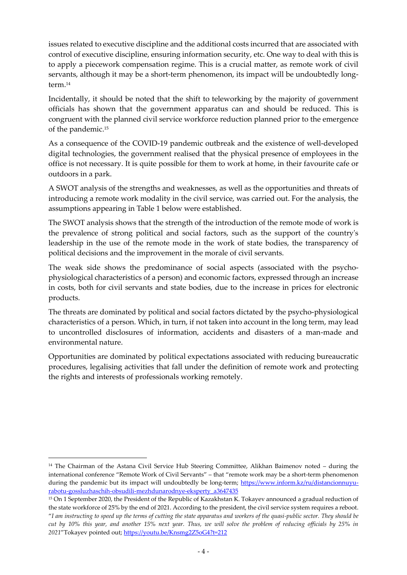issues related to executive discipline and the additional costs incurred that are associated with control of executive discipline, ensuring information security, etc. One way to deal with this is to apply a piecework compensation regime. This is a crucial matter, as remote work of civil servants, although it may be a short-term phenomenon, its impact will be undoubtedly longterm.<sup>14</sup>

Incidentally, it should be noted that the shift to teleworking by the majority of government officials has shown that the government apparatus can and should be reduced. This is congruent with the planned civil service workforce reduction planned prior to the emergence of the pandemic.<sup>15</sup>

As a consequence of the COVID-19 pandemic outbreak and the existence of well-developed digital technologies, the government realised that the physical presence of employees in the office is not necessary. It is quite possible for them to work at home, in their favourite cafe or outdoors in a park.

A SWOT analysis of the strengths and weaknesses, as well as the opportunities and threats of introducing a remote work modality in the civil service, was carried out. For the analysis, the assumptions appearing in Table 1 below were established.

The SWOT analysis shows that the strength of the introduction of the remote mode of work is the prevalence of strong political and social factors, such as the support of the country's leadership in the use of the remote mode in the work of state bodies, the transparency of political decisions and the improvement in the morale of civil servants.

The weak side shows the predominance of social aspects (associated with the psychophysiological characteristics of a person) and economic factors, expressed through an increase in costs, both for civil servants and state bodies, due to the increase in prices for electronic products.

The threats are dominated by political and social factors dictated by the psycho-physiological characteristics of a person. Which, in turn, if not taken into account in the long term, may lead to uncontrolled disclosures of information, accidents and disasters of a man-made and environmental nature.

Opportunities are dominated by political expectations associated with reducing bureaucratic procedures, legalising activities that fall under the definition of remote work and protecting the rights and interests of professionals working remotely.

<sup>&</sup>lt;sup>14</sup> The Chairman of the Astana Civil Service Hub Steering Committee, Alikhan Baimenov noted – during the international conference "Remote Work of Civil Servants" – that "remote work may be a short-term phenomenon during the pandemic but its impact will undoubtedly be long-term; [https://www.inform.kz/ru/distancionnuyu](https://www.inform.kz/ru/distancionnuyu-rabotu-gossluzhaschih-obsudili-mezhdunarodnye-eksperty_a3647435)[rabotu-gossluzhaschih-obsudili-mezhdunarodnye-eksperty\\_a3647435](https://www.inform.kz/ru/distancionnuyu-rabotu-gossluzhaschih-obsudili-mezhdunarodnye-eksperty_a3647435)

<sup>&</sup>lt;sup>15</sup> On 1 September 2020, the President of the Republic of Kazakhstan K. Tokayev announced a gradual reduction of the state workforce of 25% by the end of 2021. According to the president, the civil service system requires a reboot. "*I am instructing to speed up the terms of cutting the state apparatus and workers of the quasi-public sector. They should be cut by 10% this year, and another 15% next year. Thus, we will solve the problem of reducing officials by 25% in 2021*"Tokayev pointed out;<https://youtu.be/Knsmg2Z5oG4?t=212>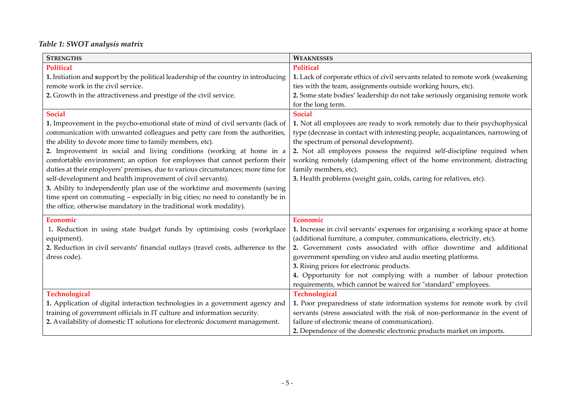# *Table 1: SWOT analysis matrix*

| <b>STRENGTHS</b>                                                                    | <b>WEAKNESSES</b>                                                               |
|-------------------------------------------------------------------------------------|---------------------------------------------------------------------------------|
| <b>Political</b>                                                                    | <b>Political</b>                                                                |
| 1. Initiation and support by the political leadership of the country in introducing | 1. Lack of corporate ethics of civil servants related to remote work (weakening |
| remote work in the civil service.                                                   | ties with the team, assignments outside working hours, etc).                    |
| 2. Growth in the attractiveness and prestige of the civil service.                  | 2. Some state bodies' leadership do not take seriously organising remote work   |
|                                                                                     | for the long term.                                                              |
| <b>Social</b>                                                                       | <b>Social</b>                                                                   |
| 1. Improvement in the psycho-emotional state of mind of civil servants (lack of     | 1. Not all employees are ready to work remotely due to their psychophysical     |
| communication with unwanted colleagues and petty care from the authorities,         | type (decrease in contact with interesting people, acquaintances, narrowing of  |
| the ability to devote more time to family members, etc).                            | the spectrum of personal development).                                          |
| 2. Improvement in social and living conditions (working at home in a                | 2. Not all employees possess the required self-discipline required when         |
| comfortable environment; an option for employees that cannot perform their          | working remotely (dampening effect of the home environment, distracting         |
| duties at their employers' premises, due to various circumstances; more time for    | family members, etc).                                                           |
| self-development and health improvement of civil servants).                         | 3. Health problems (weight gain, colds, caring for relatives, etc).             |
| 3. Ability to independently plan use of the worktime and movements (saving          |                                                                                 |
| time spent on commuting - especially in big cities; no need to constantly be in     |                                                                                 |
| the office, otherwise mandatory in the traditional work modality).                  |                                                                                 |
| Economic                                                                            | Economic                                                                        |
| 1. Reduction in using state budget funds by optimising costs (workplace             | 1. Increase in civil servants' expenses for organising a working space at home  |
| equipment).                                                                         | (additional furniture, a computer, communications, electricity, etc).           |
| 2. Reduction in civil servants' financial outlays (travel costs, adherence to the   | 2. Government costs associated with office downtime and additional              |
| dress code).                                                                        | government spending on video and audio meeting platforms.                       |
|                                                                                     | 3. Rising prices for electronic products.                                       |
|                                                                                     | 4. Opportunity for not complying with a number of labour protection             |
|                                                                                     | requirements, which cannot be waived for "standard" employees.                  |
| Technological                                                                       | Technological                                                                   |
| 1. Application of digital interaction technologies in a government agency and       | 1. Poor preparedness of state information systems for remote work by civil      |
| training of government officials in IT culture and information security.            | servants (stress associated with the risk of non-performance in the event of    |
| 2. Availability of domestic IT solutions for electronic document management.        | failure of electronic means of communication).                                  |
|                                                                                     | 2. Dependence of the domestic electronic products market on imports.            |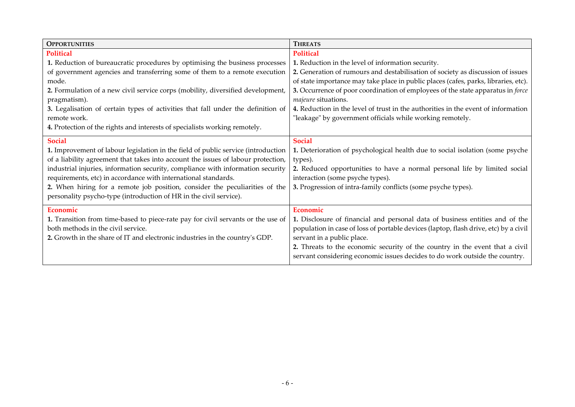| <b>OPPORTUNITIES</b>                                                              | <b>THREATS</b>                                                                       |
|-----------------------------------------------------------------------------------|--------------------------------------------------------------------------------------|
| <b>Political</b>                                                                  | Political                                                                            |
| 1. Reduction of bureaucratic procedures by optimising the business processes      | 1. Reduction in the level of information security.                                   |
| of government agencies and transferring some of them to a remote execution        | 2. Generation of rumours and destabilisation of society as discussion of issues      |
| mode.                                                                             | of state importance may take place in public places (cafes, parks, libraries, etc).  |
| 2. Formulation of a new civil service corps (mobility, diversified development,   | 3. Occurrence of poor coordination of employees of the state apparatus in force      |
| pragmatism).                                                                      | majeure situations.                                                                  |
| 3. Legalisation of certain types of activities that fall under the definition of  | 4. Reduction in the level of trust in the authorities in the event of information    |
| remote work.                                                                      | "leakage" by government officials while working remotely.                            |
| 4. Protection of the rights and interests of specialists working remotely.        |                                                                                      |
| <b>Social</b>                                                                     | <b>Social</b>                                                                        |
| 1. Improvement of labour legislation in the field of public service (introduction | 1. Deterioration of psychological health due to social isolation (some psyche        |
| of a liability agreement that takes into account the issues of labour protection, | types).                                                                              |
| industrial injuries, information security, compliance with information security   | 2. Reduced opportunities to have a normal personal life by limited social            |
| requirements, etc) in accordance with international standards.                    | interaction (some psyche types).                                                     |
| 2. When hiring for a remote job position, consider the peculiarities of the       | 3. Progression of intra-family conflicts (some psyche types).                        |
| personality psycho-type (introduction of HR in the civil service).                |                                                                                      |
| Economic                                                                          | Economic                                                                             |
| 1. Transition from time-based to piece-rate pay for civil servants or the use of  | 1. Disclosure of financial and personal data of business entities and of the         |
| both methods in the civil service.                                                | population in case of loss of portable devices (laptop, flash drive, etc) by a civil |
| 2. Growth in the share of IT and electronic industries in the country's GDP.      | servant in a public place.                                                           |
|                                                                                   | 2. Threats to the economic security of the country in the event that a civil         |
|                                                                                   | servant considering economic issues decides to do work outside the country.          |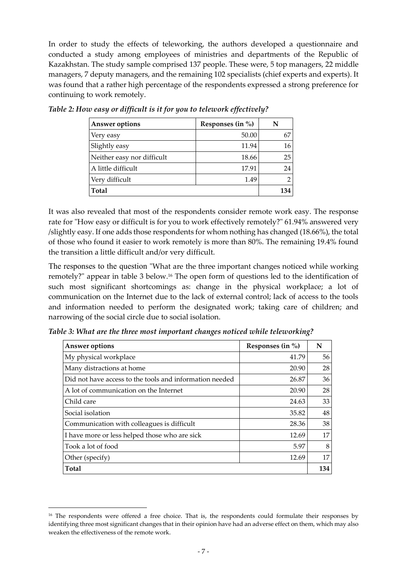In order to study the effects of teleworking, the authors developed a questionnaire and conducted a study among employees of ministries and departments of the Republic of Kazakhstan. The study sample comprised 137 people. These were, 5 top managers, 22 middle managers, 7 deputy managers, and the remaining 102 specialists (chief experts and experts). It was found that a rather high percentage of the respondents expressed a strong preference for continuing to work remotely.

| <b>Answer options</b>      | Responses (in $\%$ ) | N   |
|----------------------------|----------------------|-----|
| Very easy                  | 50.00                | 67  |
| Slightly easy              | 11.94                | 16  |
| Neither easy nor difficult | 18.66                | 25  |
| A little difficult         | 17.91                | 24  |
| Very difficult             | 1.49                 |     |
| Total                      |                      | 134 |

*Table 2: How easy or difficult is it for you to telework effectively?*

It was also revealed that most of the respondents consider remote work easy. The response rate for "How easy or difficult is for you to work effectively remotely?" 61.94% answered very /slightly easy. If one adds those respondents for whom nothing has changed (18.66%), the total of those who found it easier to work remotely is more than 80%. The remaining 19.4% found the transition a little difficult and/or very difficult.

The responses to the question "What are the three important changes noticed while working remotely?" appear in table 3 below.<sup>16</sup> The open form of questions led to the identification of such most significant shortcomings as: change in the physical workplace; a lot of communication on the Internet due to the lack of external control; lack of access to the tools and information needed to perform the designated work; taking care of children; and narrowing of the social circle due to social isolation.

| <b>Answer options</b>                                   | Responses (in $\%$ ) | N   |
|---------------------------------------------------------|----------------------|-----|
| My physical workplace                                   | 41.79                | 56  |
| Many distractions at home                               | 20.90                | 28  |
| Did not have access to the tools and information needed | 26.87                | 36  |
| A lot of communication on the Internet                  | 20.90                | 28  |
| Child care                                              | 24.63                | 33  |
| Social isolation                                        | 35.82                | 48  |
| Communication with colleagues is difficult              | 28.36                | 38  |
| I have more or less helped those who are sick           | 12.69                | 17  |
| Took a lot of food                                      | 5.97                 | 8   |
| Other (specify)                                         | 12.69                | 17  |
| <b>Total</b>                                            |                      | 134 |

*Table 3: What are the three most important changes noticed while teleworking?*

<sup>&</sup>lt;sup>16</sup> The respondents were offered a free choice. That is, the respondents could formulate their responses by identifying three most significant changes that in their opinion have had an adverse effect on them, which may also weaken the effectiveness of the remote work.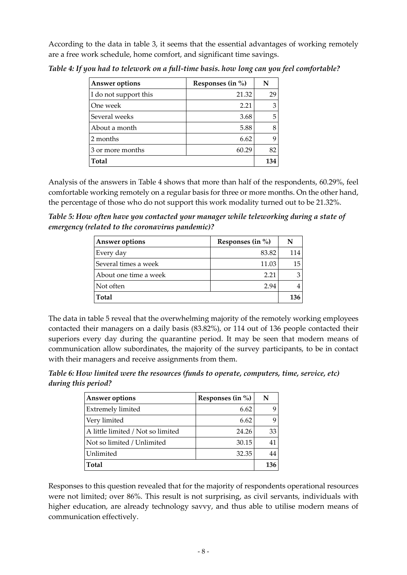According to the data in table 3, it seems that the essential advantages of working remotely are a free work schedule, home comfort, and significant time savings.

| Answer options        | Responses (in $\%$ ) | N   |
|-----------------------|----------------------|-----|
| I do not support this | 21.32                | 29  |
| One week              | 2.21                 | 3   |
| Several weeks         | 3.68                 | 5   |
| About a month         | 5.88                 | 8   |
| 2 months              | 6.62                 | 9   |
| 3 or more months      | 60.29                | 82  |
| Total                 |                      | 134 |

*Table 4: If you had to telework on a full-time basis. how long can you feel comfortable?*

Analysis of the answers in Table 4 shows that more than half of the respondents, 60.29%, feel comfortable working remotely on a regular basis for three or more months. On the other hand, the percentage of those who do not support this work modality turned out to be 21.32%.

*Table 5: How often have you contacted your manager while teleworking during a state of emergency (related to the coronavirus pandemic)?*

| <b>Answer options</b> | Responses (in $\%$ ) | N   |
|-----------------------|----------------------|-----|
| Every day             | 83.82                | 114 |
| Several times a week  | 11.03                | 15  |
| About one time a week | 2.21                 | З   |
| Not often             | 2.94                 |     |
| Total                 |                      | 136 |

The data in table 5 reveal that the overwhelming majority of the remotely working employees contacted their managers on a daily basis (83.82%), or 114 out of 136 people contacted their superiors every day during the quarantine period. It may be seen that modern means of communication allow subordinates, the majority of the survey participants, to be in contact with their managers and receive assignments from them.

*Table 6: How limited were the resources (funds to operate, computers, time, service, etc) during this period?*

| <b>Answer options</b>             | Responses (in $\%$ ) | N   |
|-----------------------------------|----------------------|-----|
| Extremely limited                 | 6.62                 | q   |
| Very limited                      | 6.62                 | q   |
| A little limited / Not so limited | 24.26                | 33  |
| Not so limited / Unlimited        | 30.15                |     |
| Unlimited                         | 32.35                |     |
| <b>Total</b>                      |                      | 136 |

Responses to this question revealed that for the majority of respondents operational resources were not limited; over 86%. This result is not surprising, as civil servants, individuals with higher education, are already technology savvy, and thus able to utilise modern means of communication effectively.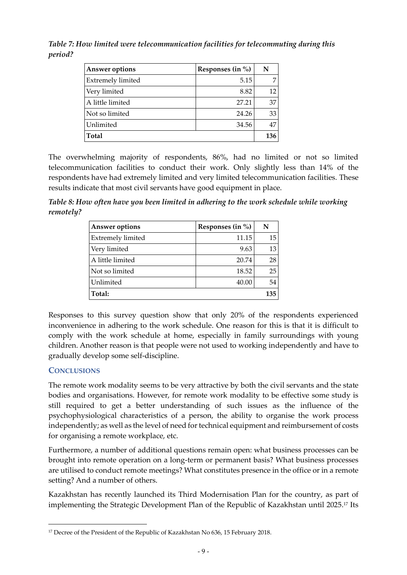*Table 7: How limited were telecommunication facilities for telecommuting during this period?*

| <b>Answer options</b>    | Responses (in $\%$ ) | N   |
|--------------------------|----------------------|-----|
| <b>Extremely limited</b> | 5.15                 |     |
| Very limited             | 8.82                 | 12  |
| A little limited         | 27.21                | 37  |
| Not so limited           | 24.26                | 33  |
| Unlimited                | 34.56                | 47  |
| <b>Total</b>             |                      | 136 |

The overwhelming majority of respondents, 86%, had no limited or not so limited telecommunication facilities to conduct their work. Only slightly less than 14% of the respondents have had extremely limited and very limited telecommunication facilities. These results indicate that most civil servants have good equipment in place.

*Table 8: How often have you been limited in adhering to the work schedule while working remotely?*

| <b>Answer options</b>    | Responses (in $\%$ ) | N   |
|--------------------------|----------------------|-----|
| <b>Extremely limited</b> | 11.15                | 15  |
| Very limited             | 9.63                 | 13  |
| A little limited         | 20.74                | 28  |
| Not so limited           | 18.52                | 25  |
| Unlimited                | 40.00                | 54  |
| Total:                   |                      | 135 |

Responses to this survey question show that only 20% of the respondents experienced inconvenience in adhering to the work schedule. One reason for this is that it is difficult to comply with the work schedule at home, especially in family surroundings with young children. Another reason is that people were not used to working independently and have to gradually develop some self-discipline.

## **CONCLUSIONS**

The remote work modality seems to be very attractive by both the civil servants and the state bodies and organisations. However, for remote work modality to be effective some study is still required to get a better understanding of such issues as the influence of the psychophysiological characteristics of a person, the ability to organise the work process independently; as well as the level of need for technical equipment and reimbursement of costs for organising a remote workplace, etc.

Furthermore, a number of additional questions remain open: what business processes can be brought into remote operation on a long-term or permanent basis? What business processes are utilised to conduct remote meetings? What constitutes presence in the office or in a remote setting? And a number of others.

Kazakhstan has recently launched its Third Modernisation Plan for the country, as part of implementing the Strategic Development Plan of the Republic of Kazakhstan until 2025. <sup>17</sup> Its

<sup>&</sup>lt;sup>17</sup> Decree of the President of the Republic of Kazakhstan No 636, 15 February 2018.